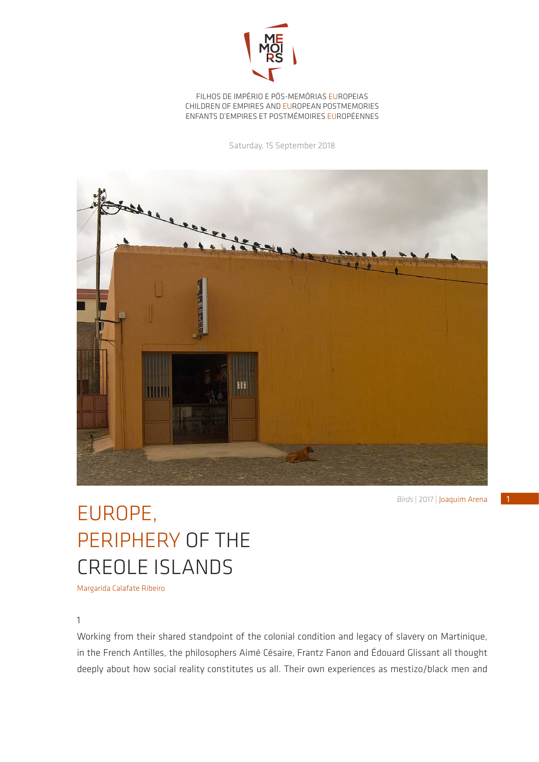

FILHOS DE IMPÉRIO E PÓS-MEMÓRIAS EUROPEIAS CHILDREN OF EMPIRES AND EUROPEAN POSTMEMORIES ENFANTS D'EMPIRES ET POSTMÉMOIRES EUROPÉENNES

Saturday, 15 September 2018



*Birds* | 2017 | Joaquim Arena

## EUROPE, PERIPHERY OF THE CREOLE ISLANDS

Margarida Calafate Ribeiro

## 1

Working from their shared standpoint of the colonial condition and legacy of slavery on Martinique, in the French Antilles, the philosophers Aimé Césaire, Frantz Fanon and Édouard Glissant all thought deeply about how social reality constitutes us all. Their own experiences as mestizo/black men and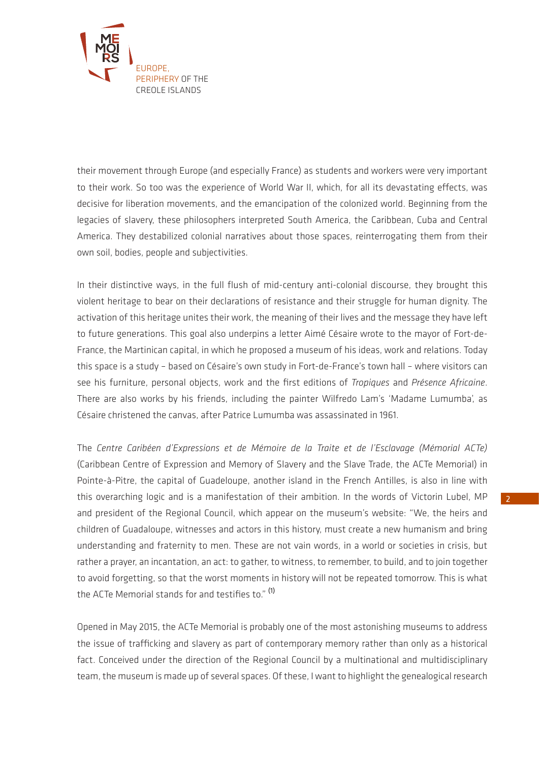

their movement through Europe (and especially France) as students and workers were very important to their work. So too was the experience of World War II, which, for all its devastating effects, was decisive for liberation movements, and the emancipation of the colonized world. Beginning from the legacies of slavery, these philosophers interpreted South America, the Caribbean, Cuba and Central America. They destabilized colonial narratives about those spaces, reinterrogating them from their own soil, bodies, people and subjectivities.

In their distinctive ways, in the full flush of mid-century anti-colonial discourse, they brought this violent heritage to bear on their declarations of resistance and their struggle for human dignity. The activation of this heritage unites their work, the meaning of their lives and the message they have left to future generations. This goal also underpins a letter Aimé Césaire wrote to the mayor of Fort-de-France, the Martinican capital, in which he proposed a museum of his ideas, work and relations. Today this space is a study – based on Césaire's own study in Fort-de-France's town hall – where visitors can see his furniture, personal objects, work and the first editions of *Tropiques* and *Présence Africaine*. There are also works by his friends, including the painter Wilfredo Lam's 'Madame Lumumba', as Césaire christened the canvas, after Patrice Lumumba was assassinated in 1961.

The *Centre Caribéen d'Expressions et de Mémoire de la Traite et de l'Esclavage (Mémorial ACTe)*  (Caribbean Centre of Expression and Memory of Slavery and the Slave Trade, the ACTe Memorial) in Pointe-à-Pitre, the capital of Guadeloupe, another island in the French Antilles, is also in line with this overarching logic and is a manifestation of their ambition. In the words of Victorin Lubel, MP and president of the Regional Council, which appear on the museum's website: "We, the heirs and children of Guadaloupe, witnesses and actors in this history, must create a new humanism and bring understanding and fraternity to men. These are not vain words, in a world or societies in crisis, but rather a prayer, an incantation, an act: to gather, to witness, to remember, to build, and to join together to avoid forgetting, so that the worst moments in history will not be repeated tomorrow. This is what the ACTe Memorial stands for and testifies to." (1)

Opened in May 2015, the ACTe Memorial is probably one of the most astonishing museums to address the issue of trafficking and slavery as part of contemporary memory rather than only as a historical fact. Conceived under the direction of the Regional Council by a multinational and multidisciplinary team, the museum is made up of several spaces. Of these, I want to highlight the genealogical research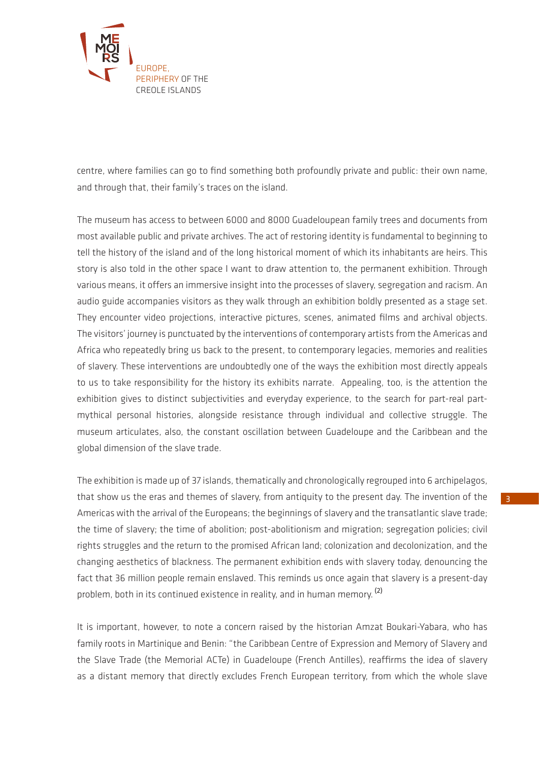

centre, where families can go to find something both profoundly private and public: their own name, and through that, their family's traces on the island.

The museum has access to between 6000 and 8000 Guadeloupean family trees and documents from most available public and private archives. The act of restoring identity is fundamental to beginning to tell the history of the island and of the long historical moment of which its inhabitants are heirs. This story is also told in the other space I want to draw attention to, the permanent exhibition. Through various means, it offers an immersive insight into the processes of slavery, segregation and racism. An audio guide accompanies visitors as they walk through an exhibition boldly presented as a stage set. They encounter video projections, interactive pictures, scenes, animated films and archival objects. The visitors' journey is punctuated by the interventions of contemporary artists from the Americas and Africa who repeatedly bring us back to the present, to contemporary legacies, memories and realities of slavery. These interventions are undoubtedly one of the ways the exhibition most directly appeals to us to take responsibility for the history its exhibits narrate. Appealing, too, is the attention the exhibition gives to distinct subjectivities and everyday experience, to the search for part-real partmythical personal histories, alongside resistance through individual and collective struggle. The museum articulates, also, the constant oscillation between Guadeloupe and the Caribbean and the global dimension of the slave trade.

The exhibition is made up of 37 islands, thematically and chronologically regrouped into 6 archipelagos, that show us the eras and themes of slavery, from antiquity to the present day. The invention of the Americas with the arrival of the Europeans; the beginnings of slavery and the transatlantic slave trade; the time of slavery; the time of abolition; post-abolitionism and migration; segregation policies; civil rights struggles and the return to the promised African land; colonization and decolonization, and the changing aesthetics of blackness. The permanent exhibition ends with slavery today, denouncing the fact that 36 million people remain enslaved. This reminds us once again that slavery is a present-day problem, both in its continued existence in reality, and in human memory. <sup>(2)</sup>

It is important, however, to note a concern raised by the historian Amzat Boukari-Yabara, who has family roots in Martinique and Benin: "the Caribbean Centre of Expression and Memory of Slavery and the Slave Trade (the Memorial ACTe) in Guadeloupe (French Antilles), reaffirms the idea of slavery as a distant memory that directly excludes French European territory, from which the whole slave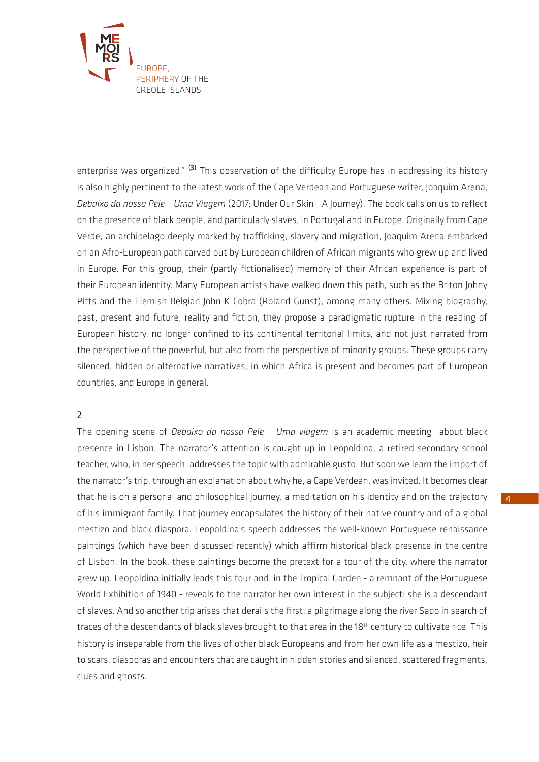

enterprise was organized."<sup>(3)</sup> This observation of the difficulty Europe has in addressing its history is also highly pertinent to the latest work of the Cape Verdean and Portuguese writer, Joaquim Arena, *Debaixo da nossa Pele – Uma Viagem* (2017; Under Our Skin - A Journey). The book calls on us to reflect on the presence of black people, and particularly slaves, in Portugal and in Europe. Originally from Cape Verde, an archipelago deeply marked by trafficking, slavery and migration, Joaquim Arena embarked on an Afro-European path carved out by European children of African migrants who grew up and lived in Europe. For this group, their (partly fictionalised) memory of their African experience is part of their European identity. Many European artists have walked down this path, such as the Briton Johny Pitts and the Flemish Belgian John K Cobra (Roland Gunst), among many others. Mixing biography, past, present and future, reality and fiction, they propose a paradigmatic rupture in the reading of European history, no longer confined to its continental territorial limits, and not just narrated from the perspective of the powerful, but also from the perspective of minority groups. These groups carry silenced, hidden or alternative narratives, in which Africa is present and becomes part of European countries, and Europe in general.

## 2

The opening scene of *Debaixo da nossa Pele – Uma viagem* is an academic meeting about black presence in Lisbon. The narrator's attention is caught up in Leopoldina, a retired secondary school teacher, who, in her speech, addresses the topic with admirable gusto. But soon we learn the import of the narrator's trip, through an explanation about why he, a Cape Verdean, was invited. It becomes clear that he is on a personal and philosophical journey, a meditation on his identity and on the trajectory of his immigrant family. That journey encapsulates the history of their native country and of a global mestizo and black diaspora. Leopoldina's speech addresses the well-known Portuguese renaissance paintings (which have been discussed recently) which affirm historical black presence in the centre of Lisbon. In the book, these paintings become the pretext for a tour of the city, where the narrator grew up. Leopoldina initially leads this tour and, in the Tropical Garden - a remnant of the Portuguese World Exhibition of 1940 - reveals to the narrator her own interest in the subject: she is a descendant of slaves. And so another trip arises that derails the first: a pilgrimage along the river Sado in search of traces of the descendants of black slaves brought to that area in the 18<sup>th</sup> century to cultivate rice. This history is inseparable from the lives of other black Europeans and from her own life as a mestizo, heir to scars, diasporas and encounters that are caught in hidden stories and silenced, scattered fragments, clues and ghosts.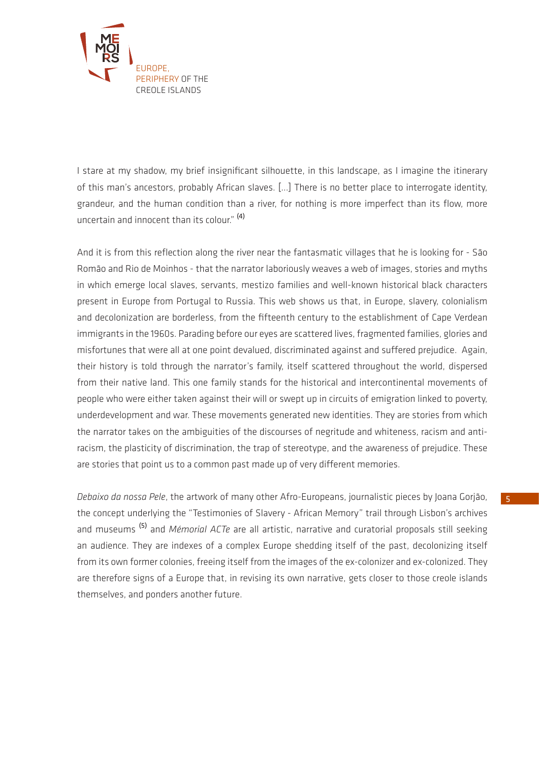

I stare at my shadow, my brief insignificant silhouette, in this landscape, as I imagine the itinerary of this man's ancestors, probably African slaves. [...] There is no better place to interrogate identity, grandeur, and the human condition than a river, for nothing is more imperfect than its flow, more uncertain and innocent than its colour." (4)

And it is from this reflection along the river near the fantasmatic villages that he is looking for - São Romão and Rio de Moinhos - that the narrator laboriously weaves a web of images, stories and myths in which emerge local slaves, servants, mestizo families and well-known historical black characters present in Europe from Portugal to Russia. This web shows us that, in Europe, slavery, colonialism and decolonization are borderless, from the fifteenth century to the establishment of Cape Verdean immigrants in the 1960s. Parading before our eyes are scattered lives, fragmented families, glories and misfortunes that were all at one point devalued, discriminated against and suffered prejudice. Again, their history is told through the narrator's family, itself scattered throughout the world, dispersed from their native land. This one family stands for the historical and intercontinental movements of people who were either taken against their will or swept up in circuits of emigration linked to poverty, underdevelopment and war. These movements generated new identities. They are stories from which the narrator takes on the ambiguities of the discourses of negritude and whiteness, racism and antiracism, the plasticity of discrimination, the trap of stereotype, and the awareness of prejudice. These are stories that point us to a common past made up of very different memories.

*Debaixo da nossa Pele*, the artwork of many other Afro-Europeans, journalistic pieces by Joana Gorjão, the concept underlying the "Testimonies of Slavery - African Memory" trail through Lisbon's archives and museums (5) and *Mémorial ACTe* are all artistic, narrative and curatorial proposals still seeking an audience. They are indexes of a complex Europe shedding itself of the past, decolonizing itself from its own former colonies, freeing itself from the images of the ex-colonizer and ex-colonized. They are therefore signs of a Europe that, in revising its own narrative, gets closer to those creole islands themselves, and ponders another future.